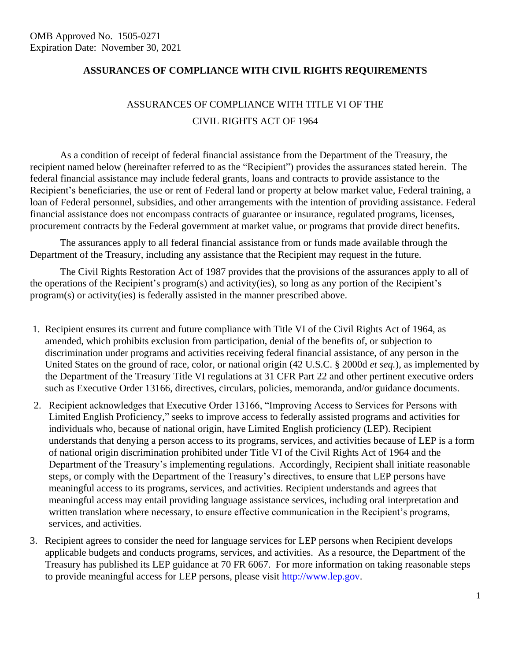## **ASSURANCES OF COMPLIANCE WITH CIVIL RIGHTS REQUIREMENTS**

## ASSURANCES OF COMPLIANCE WITH TITLE VI OF THE CIVIL RIGHTS ACT OF 1964

As a condition of receipt of federal financial assistance from the Department of the Treasury, the recipient named below (hereinafter referred to as the "Recipient") provides the assurances stated herein. The federal financial assistance may include federal grants, loans and contracts to provide assistance to the Recipient's beneficiaries, the use or rent of Federal land or property at below market value, Federal training, a loan of Federal personnel, subsidies, and other arrangements with the intention of providing assistance. Federal financial assistance does not encompass contracts of guarantee or insurance, regulated programs, licenses, procurement contracts by the Federal government at market value, or programs that provide direct benefits.

The assurances apply to all federal financial assistance from or funds made available through the Department of the Treasury, including any assistance that the Recipient may request in the future.

The Civil Rights Restoration Act of 1987 provides that the provisions of the assurances apply to all of the operations of the Recipient's program(s) and activity(ies), so long as any portion of the Recipient's program(s) or activity(ies) is federally assisted in the manner prescribed above.

- 1. Recipient ensures its current and future compliance with Title VI of the Civil Rights Act of 1964, as amended, which prohibits exclusion from participation, denial of the benefits of, or subjection to discrimination under programs and activities receiving federal financial assistance, of any person in the United States on the ground of race, color, or national origin (42 U.S.C. § 2000d *et seq.*), as implemented by the Department of the Treasury Title VI regulations at 31 CFR Part 22 and other pertinent executive orders such as Executive Order 13166, directives, circulars, policies, memoranda, and/or guidance documents.
- 2. Recipient acknowledges that Executive Order 13166, "Improving Access to Services for Persons with Limited English Proficiency," seeks to improve access to federally assisted programs and activities for individuals who, because of national origin, have Limited English proficiency (LEP). Recipient understands that denying a person access to its programs, services, and activities because of LEP is a form of national origin discrimination prohibited under Title VI of the Civil Rights Act of 1964 and the Department of the Treasury's implementing regulations. Accordingly, Recipient shall initiate reasonable steps, or comply with the Department of the Treasury's directives, to ensure that LEP persons have meaningful access to its programs, services, and activities. Recipient understands and agrees that meaningful access may entail providing language assistance services, including oral interpretation and written translation where necessary, to ensure effective communication in the Recipient's programs, services, and activities.
- 3. Recipient agrees to consider the need for language services for LEP persons when Recipient develops applicable budgets and conducts programs, services, and activities. As a resource, the Department of the Treasury has published its LEP guidance at 70 FR 6067. For more information on taking reasonable steps to provide meaningful access for LEP persons, please visit [http://www.lep.gov.](http://www.lep.gov/)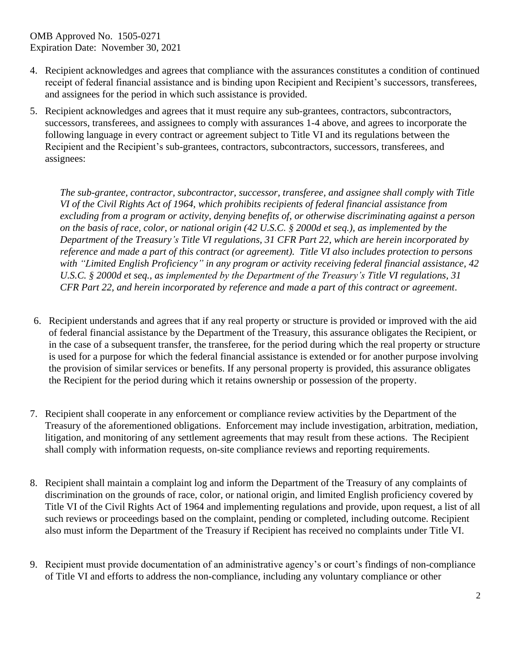OMB Approved No. 1505-0271 Expiration Date: November 30, 2021

- 4. Recipient acknowledges and agrees that compliance with the assurances constitutes a condition of continued receipt of federal financial assistance and is binding upon Recipient and Recipient's successors, transferees, and assignees for the period in which such assistance is provided.
- 5. Recipient acknowledges and agrees that it must require any sub-grantees, contractors, subcontractors, successors, transferees, and assignees to comply with assurances 1-4 above, and agrees to incorporate the following language in every contract or agreement subject to Title VI and its regulations between the Recipient and the Recipient's sub-grantees, contractors, subcontractors, successors, transferees, and assignees:

*The sub-grantee, contractor, subcontractor, successor, transferee, and assignee shall comply with Title VI of the Civil Rights Act of 1964, which prohibits recipients of federal financial assistance from excluding from a program or activity, denying benefits of, or otherwise discriminating against a person on the basis of race, color, or national origin (42 U.S.C. § 2000d et seq.), as implemented by the Department of the Treasury's Title VI regulations, 31 CFR Part 22, which are herein incorporated by reference and made a part of this contract (or agreement). Title VI also includes protection to persons with "Limited English Proficiency" in any program or activity receiving federal financial assistance, 42 U.S.C. § 2000d et seq., as implemented by the Department of the Treasury's Title VI regulations, 31 CFR Part 22, and herein incorporated by reference and made a part of this contract or agreement*.

- 6. Recipient understands and agrees that if any real property or structure is provided or improved with the aid of federal financial assistance by the Department of the Treasury, this assurance obligates the Recipient, or in the case of a subsequent transfer, the transferee, for the period during which the real property or structure is used for a purpose for which the federal financial assistance is extended or for another purpose involving the provision of similar services or benefits. If any personal property is provided, this assurance obligates the Recipient for the period during which it retains ownership or possession of the property.
- 7. Recipient shall cooperate in any enforcement or compliance review activities by the Department of the Treasury of the aforementioned obligations. Enforcement may include investigation, arbitration, mediation, litigation, and monitoring of any settlement agreements that may result from these actions. The Recipient shall comply with information requests, on-site compliance reviews and reporting requirements.
- 8. Recipient shall maintain a complaint log and inform the Department of the Treasury of any complaints of discrimination on the grounds of race, color, or national origin, and limited English proficiency covered by Title VI of the Civil Rights Act of 1964 and implementing regulations and provide, upon request, a list of all such reviews or proceedings based on the complaint, pending or completed, including outcome. Recipient also must inform the Department of the Treasury if Recipient has received no complaints under Title VI.
- 9. Recipient must provide documentation of an administrative agency's or court's findings of non-compliance of Title VI and efforts to address the non-compliance, including any voluntary compliance or other